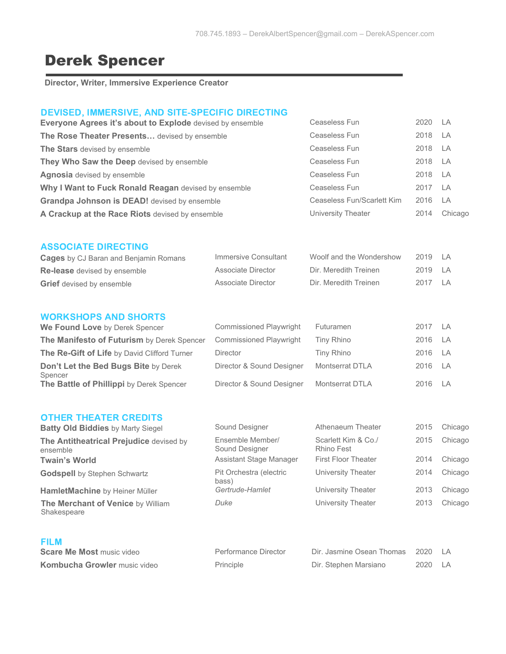# Derek Spencer

**Director, Writer, Immersive Experience Creator**

## DEVISED, IMMERSIVE, AND SITE-SPECIFIC DIRECTING

| Everyone Agrees it's about to Explode devised by ensemble | Ceaseless Fun              | 2020 LA |           |
|-----------------------------------------------------------|----------------------------|---------|-----------|
| The Rose Theater Presents devised by ensemble             | Ceaseless Fun              | 2018 LA |           |
| The Stars devised by ensemble                             | Ceaseless Fun              | 2018 LA |           |
| They Who Saw the Deep devised by ensemble                 | Ceaseless Fun              | 2018 LA |           |
| <b>Agnosia</b> devised by ensemble                        | Ceaseless Fun              | 2018 LA |           |
| Why I Want to Fuck Ronald Reagan devised by ensemble      | Ceaseless Fun              | 2017 LA |           |
| <b>Grandpa Johnson is DEAD!</b> devised by ensemble       | Ceaseless Fun/Scarlett Kim | 2016    | <b>LA</b> |
| A Crackup at the Race Riots devised by ensemble           | University Theater         | 2014    | Chicago   |

### ASSOCIATE DIRECTING

| <b>Cages</b> by CJ Baran and Benjamin Romans | Immersive Consultant | Woolf and the Wondershow | $2019$ $\overline{\phantom{0}}$ $\overline{\phantom{0}}$ $\overline{\phantom{0}}$ $\overline{\phantom{0}}$ $\overline{\phantom{0}}$ $\overline{\phantom{0}}$ $\overline{\phantom{0}}$ $\overline{\phantom{0}}$ $\overline{\phantom{0}}$ $\overline{\phantom{0}}$ $\overline{\phantom{0}}$ $\overline{\phantom{0}}$ $\overline{\phantom{0}}$ $\overline{\phantom{0}}$ $\overline{\phantom{0}}$ $\overline{\phantom{0}}$ $\overline{\phantom{0}}$ $\overline{\phantom{0}}$ |                |
|----------------------------------------------|----------------------|--------------------------|--------------------------------------------------------------------------------------------------------------------------------------------------------------------------------------------------------------------------------------------------------------------------------------------------------------------------------------------------------------------------------------------------------------------------------------------------------------------------|----------------|
| <b>Re-lease</b> devised by ensemble          | Associate Director   | Dir. Meredith Treinen    | 2019 IA                                                                                                                                                                                                                                                                                                                                                                                                                                                                  |                |
| <b>Grief</b> devised by ensemble             | Associate Director   | Dir. Meredith Treinen    | 2017                                                                                                                                                                                                                                                                                                                                                                                                                                                                     | $\overline{A}$ |

## WORKSHOPS AND SHORTS

| We Found Love by Derek Spencer                      | <b>Commissioned Playwright</b> | Futuramen       | 2017 LA |  |
|-----------------------------------------------------|--------------------------------|-----------------|---------|--|
| The Manifesto of Futurism by Derek Spencer          | <b>Commissioned Playwright</b> | Tiny Rhino      | 2016 LA |  |
| The Re-Gift of Life by David Clifford Turner        | <b>Director</b>                | Tiny Rhino      | 2016 LA |  |
| Don't Let the Bed Bugs Bite by Derek                | Director & Sound Designer      | Montserrat DTLA | 2016 LA |  |
| Spencer<br>The Battle of Phillippi by Derek Spencer | Director & Sound Designer      | Montserrat DTLA | 2016 LA |  |

# OTHER THEATER CREDITS

| UINER INEATER UREDITS<br><b>Batty Old Biddies by Marty Siegel</b> | Sound Designer                     | Athenaeum Theater                 | 2015 | Chicago |
|-------------------------------------------------------------------|------------------------------------|-----------------------------------|------|---------|
| The Antitheatrical Prejudice devised by<br>ensemble               | Ensemble Member/<br>Sound Designer | Scarlett Kim & Co./<br>Rhino Fest | 2015 | Chicago |
| <b>Twain's World</b>                                              | Assistant Stage Manager            | <b>First Floor Theater</b>        | 2014 | Chicago |
| <b>Godspell</b> by Stephen Schwartz                               | Pit Orchestra (electric<br>bass)   | University Theater                | 2014 | Chicago |
| HamletMachine by Heiner Müller                                    | Gertrude-Hamlet                    | University Theater                | 2013 | Chicago |
| The Merchant of Venice by William                                 | Duke                               | University Theater                | 2013 | Chicago |

**The Merchant of Venice** by William Shakespeare

| <b>FILM</b>                         |                      |                           |         |     |
|-------------------------------------|----------------------|---------------------------|---------|-----|
| <b>Scare Me Most music video</b>    | Performance Director | Dir. Jasmine Osean Thomas | 2020 IA |     |
| <b>Kombucha Growler music video</b> | Principle            | Dir. Stephen Marsiano     | 2020    | I A |